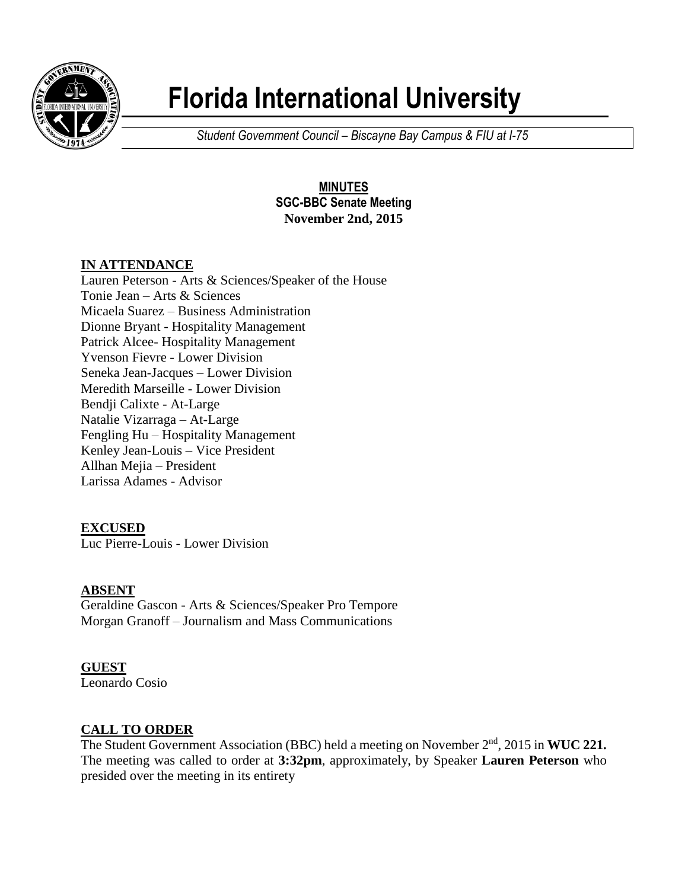

# **Florida International University**

*Student Government Council – Biscayne Bay Campus & FIU at I-75*

#### **MINUTES SGC-BBC Senate Meeting November 2nd, 2015**

# **IN ATTENDANCE**

Lauren Peterson - Arts & Sciences/Speaker of the House Tonie Jean – Arts & Sciences Micaela Suarez – Business Administration Dionne Bryant - Hospitality Management Patrick Alcee- Hospitality Management Yvenson Fievre - Lower Division Seneka Jean-Jacques – Lower Division Meredith Marseille - Lower Division Bendji Calixte - At-Large Natalie Vizarraga – At-Large Fengling Hu – Hospitality Management Kenley Jean-Louis – Vice President Allhan Mejia – President Larissa Adames - Advisor

# **EXCUSED**

Luc Pierre-Louis - Lower Division

# **ABSENT**

Geraldine Gascon - Arts & Sciences/Speaker Pro Tempore Morgan Granoff – Journalism and Mass Communications

#### **GUEST**

Leonardo Cosio

# **CALL TO ORDER**

The Student Government Association (BBC) held a meeting on November 2<sup>nd</sup>, 2015 in **WUC 221.** The meeting was called to order at **3:32pm**, approximately, by Speaker **Lauren Peterson** who presided over the meeting in its entirety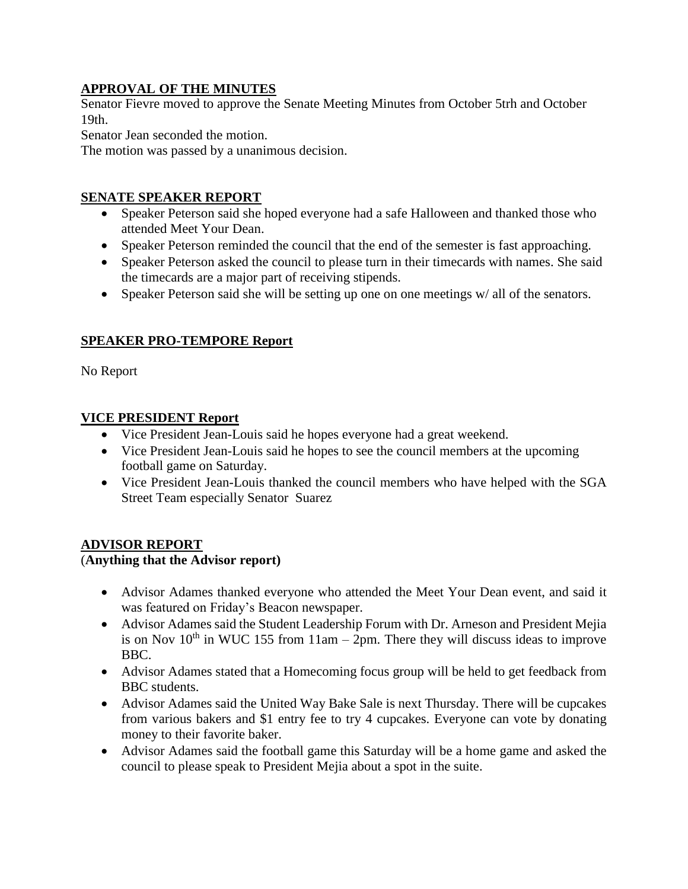#### **APPROVAL OF THE MINUTES**

Senator Fievre moved to approve the Senate Meeting Minutes from October 5trh and October 19th.

Senator Jean seconded the motion.

The motion was passed by a unanimous decision.

#### **SENATE SPEAKER REPORT**

- Speaker Peterson said she hoped everyone had a safe Halloween and thanked those who attended Meet Your Dean.
- Speaker Peterson reminded the council that the end of the semester is fast approaching.
- Speaker Peterson asked the council to please turn in their timecards with names. She said the timecards are a major part of receiving stipends.
- Speaker Peterson said she will be setting up one on one meetings w/ all of the senators.

#### **SPEAKER PRO-TEMPORE Report**

No Report

#### **VICE PRESIDENT Report**

- Vice President Jean-Louis said he hopes everyone had a great weekend.
- Vice President Jean-Louis said he hopes to see the council members at the upcoming football game on Saturday.
- Vice President Jean-Louis thanked the council members who have helped with the SGA Street Team especially Senator Suarez

#### **ADVISOR REPORT**

#### (**Anything that the Advisor report)**

- Advisor Adames thanked everyone who attended the Meet Your Dean event, and said it was featured on Friday's Beacon newspaper.
- Advisor Adames said the Student Leadership Forum with Dr. Arneson and President Mejia is on Nov  $10<sup>th</sup>$  in WUC 155 from  $11am - 2pm$ . There they will discuss ideas to improve BBC.
- Advisor Adames stated that a Homecoming focus group will be held to get feedback from BBC students.
- Advisor Adames said the United Way Bake Sale is next Thursday. There will be cupcakes from various bakers and \$1 entry fee to try 4 cupcakes. Everyone can vote by donating money to their favorite baker.
- Advisor Adames said the football game this Saturday will be a home game and asked the council to please speak to President Mejia about a spot in the suite.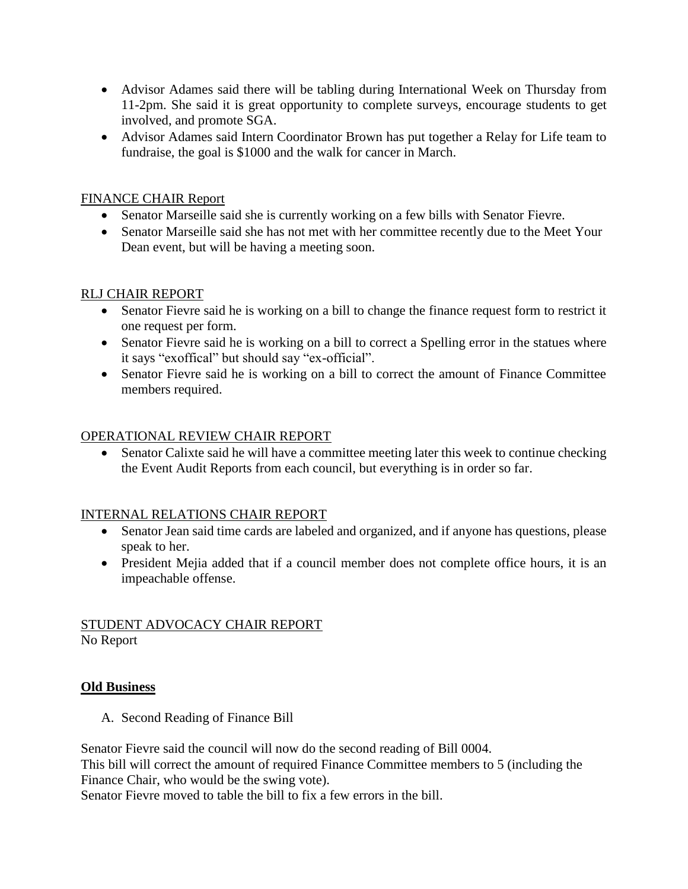- Advisor Adames said there will be tabling during International Week on Thursday from 11-2pm. She said it is great opportunity to complete surveys, encourage students to get involved, and promote SGA.
- Advisor Adames said Intern Coordinator Brown has put together a Relay for Life team to fundraise, the goal is \$1000 and the walk for cancer in March.

#### FINANCE CHAIR Report

- Senator Marseille said she is currently working on a few bills with Senator Fievre.
- Senator Marseille said she has not met with her committee recently due to the Meet Your Dean event, but will be having a meeting soon.

#### RLJ CHAIR REPORT

- Senator Fievre said he is working on a bill to change the finance request form to restrict it one request per form.
- Senator Fievre said he is working on a bill to correct a Spelling error in the statues where it says "exoffical" but should say "ex-official".
- Senator Fievre said he is working on a bill to correct the amount of Finance Committee members required.

#### OPERATIONAL REVIEW CHAIR REPORT

• Senator Calixte said he will have a committee meeting later this week to continue checking the Event Audit Reports from each council, but everything is in order so far.

#### INTERNAL RELATIONS CHAIR REPORT

- Senator Jean said time cards are labeled and organized, and if anyone has questions, please speak to her.
- President Mejia added that if a council member does not complete office hours, it is an impeachable offense.

# STUDENT ADVOCACY CHAIR REPORT

No Report

#### **Old Business**

A. Second Reading of Finance Bill

Senator Fievre said the council will now do the second reading of Bill 0004.

This bill will correct the amount of required Finance Committee members to 5 (including the Finance Chair, who would be the swing vote).

Senator Fievre moved to table the bill to fix a few errors in the bill.